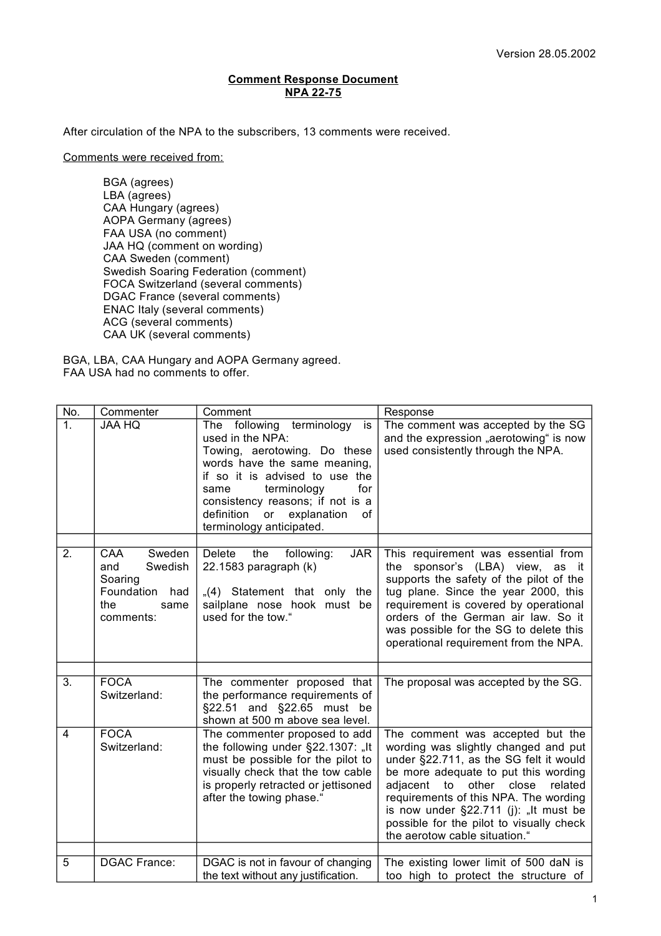## **Comment Response Document NPA 22-75**

After circulation of the NPA to the subscribers, 13 comments were received.

Comments were received from:

BGA (agrees) LBA (agrees) CAA Hungary (agrees) AOPA Germany (agrees) FAA USA (no comment) JAA HQ (comment on wording) CAA Sweden (comment) Swedish Soaring Federation (comment) FOCA Switzerland (several comments) DGAC France (several comments) ENAC Italy (several comments) ACG (several comments) CAA UK (several comments)

BGA, LBA, CAA Hungary and AOPA Germany agreed. FAA USA had no comments to offer.

| No.            | Commenter                                                                                   | Comment                                                                                                                                                                                                                                                                                      | Response                                                                                                                                                                                                                                                                                                                                                        |
|----------------|---------------------------------------------------------------------------------------------|----------------------------------------------------------------------------------------------------------------------------------------------------------------------------------------------------------------------------------------------------------------------------------------------|-----------------------------------------------------------------------------------------------------------------------------------------------------------------------------------------------------------------------------------------------------------------------------------------------------------------------------------------------------------------|
| 1.             | <b>JAA HQ</b>                                                                               | following terminology<br>The<br>is<br>used in the NPA:<br>Towing, aerotowing. Do these<br>words have the same meaning,<br>if so it is advised to use the<br>terminology<br>for<br>same<br>consistency reasons; if not is a<br>definition<br>or explanation<br>οf<br>terminology anticipated. | The comment was accepted by the SG<br>and the expression "aerotowing" is now<br>used consistently through the NPA.                                                                                                                                                                                                                                              |
|                |                                                                                             |                                                                                                                                                                                                                                                                                              |                                                                                                                                                                                                                                                                                                                                                                 |
| 2.             | CAA<br>Sweden<br>Swedish<br>and<br>Soaring<br>Foundation<br>had<br>the<br>same<br>comments: | <b>Delete</b><br>the<br>JAR<br>following:<br>22.1583 paragraph (k)<br>$(4)$ Statement that only the<br>sailplane nose hook must be<br>used for the tow."                                                                                                                                     | This requirement was essential from<br>sponsor's (LBA) view, as it<br>the<br>supports the safety of the pilot of the<br>tug plane. Since the year 2000, this<br>requirement is covered by operational<br>orders of the German air law. So it<br>was possible for the SG to delete this<br>operational requirement from the NPA.                                 |
|                |                                                                                             |                                                                                                                                                                                                                                                                                              |                                                                                                                                                                                                                                                                                                                                                                 |
| 3.             | <b>FOCA</b><br>Switzerland:                                                                 | The commenter proposed that<br>the performance requirements of<br>§22.51 and §22.65 must be<br>shown at 500 m above sea level.                                                                                                                                                               | The proposal was accepted by the SG.                                                                                                                                                                                                                                                                                                                            |
| $\overline{4}$ | <b>FOCA</b><br>Switzerland:                                                                 | The commenter proposed to add<br>the following under §22.1307: "It<br>must be possible for the pilot to<br>visually check that the tow cable<br>is properly retracted or jettisoned<br>after the towing phase."                                                                              | The comment was accepted but the<br>wording was slightly changed and put<br>under §22.711, as the SG felt it would<br>be more adequate to put this wording<br>adjacent to other close<br>related<br>requirements of this NPA. The wording<br>is now under §22.711 (j): "It must be<br>possible for the pilot to visually check<br>the aerotow cable situation." |
| 5              | <b>DGAC France:</b>                                                                         | DGAC is not in favour of changing                                                                                                                                                                                                                                                            | The existing lower limit of 500 daN is                                                                                                                                                                                                                                                                                                                          |
|                |                                                                                             | the text without any justification.                                                                                                                                                                                                                                                          | too high to protect the structure of                                                                                                                                                                                                                                                                                                                            |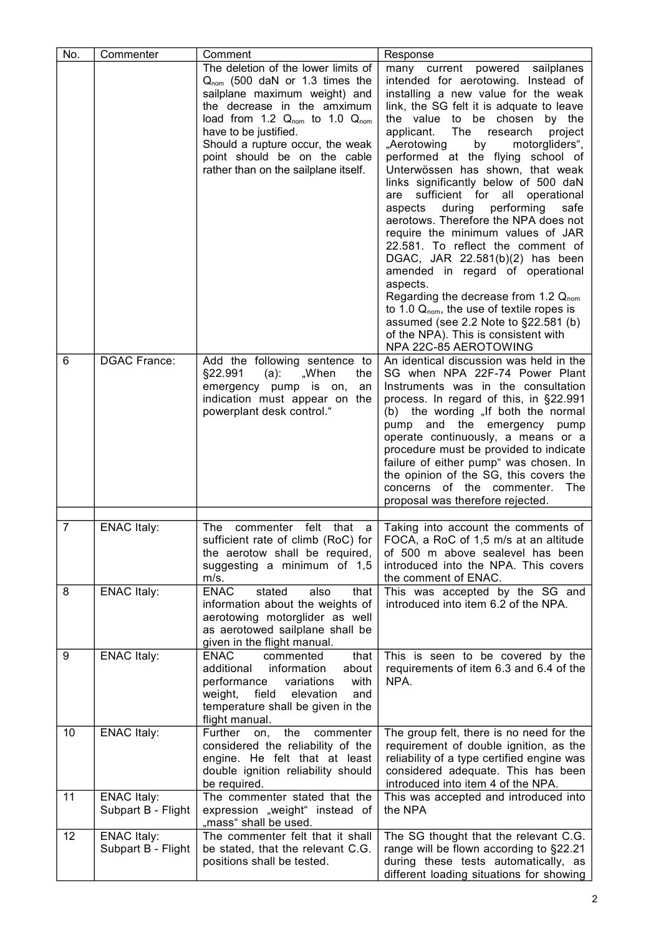| No. | Commenter                                | Comment                                                                                                                                                                                                                                                                                                                            | Response                                                                                                                                                                                                                                                                                                                                                                                                                                                                                                                                                                                                                                                                                                                                                                                                                                                                                                            |
|-----|------------------------------------------|------------------------------------------------------------------------------------------------------------------------------------------------------------------------------------------------------------------------------------------------------------------------------------------------------------------------------------|---------------------------------------------------------------------------------------------------------------------------------------------------------------------------------------------------------------------------------------------------------------------------------------------------------------------------------------------------------------------------------------------------------------------------------------------------------------------------------------------------------------------------------------------------------------------------------------------------------------------------------------------------------------------------------------------------------------------------------------------------------------------------------------------------------------------------------------------------------------------------------------------------------------------|
|     |                                          | The deletion of the lower limits of<br>Q <sub>nom</sub> (500 daN or 1.3 times the<br>sailplane maximum weight) and<br>the decrease in the amximum<br>load from 1.2 $Q_{nom}$ to 1.0 $Q_{nom}$<br>have to be justified.<br>Should a rupture occur, the weak<br>point should be on the cable<br>rather than on the sailplane itself. | many current powered sailplanes<br>intended for aerotowing. Instead of<br>installing a new value for the weak<br>link, the SG felt it is adquate to leave<br>the value to be chosen<br>by the<br>applicant.<br>The<br>research<br>project<br>by<br>"Aerotowing<br>motorgliders",<br>performed at the flying school of<br>Unterwössen has shown, that weak<br>links significantly below of 500 daN<br>sufficient for all<br>operational<br>are<br>aspects<br>during<br>performing<br>safe<br>aerotows. Therefore the NPA does not<br>require the minimum values of JAR<br>22.581. To reflect the comment of<br>DGAC, JAR 22.581(b)(2) has been<br>amended in regard of operational<br>aspects.<br>Regarding the decrease from 1.2 Q <sub>nom</sub><br>to 1.0 $Q_{\text{nom}}$ , the use of textile ropes is<br>assumed (see 2.2 Note to §22.581 (b)<br>of the NPA). This is consistent with<br>NPA 22C-85 AEROTOWING |
| 6   | <b>DGAC France:</b>                      | Add the following sentence to<br>§22.991<br>$(a)$ :<br>"When<br>the<br>emergency pump is on,<br>an<br>indication must appear on the<br>powerplant desk control."                                                                                                                                                                   | An identical discussion was held in the<br>SG when NPA 22F-74 Power Plant<br>Instruments was in the consultation<br>process. In regard of this, in §22.991<br>(b) the wording "If both the normal<br>pump and the emergency pump<br>operate continuously, a means or a<br>procedure must be provided to indicate<br>failure of either pump" was chosen. In<br>the opinion of the SG, this covers the<br>concerns of the commenter.<br>The<br>proposal was therefore rejected.                                                                                                                                                                                                                                                                                                                                                                                                                                       |
| 7   | <b>ENAC Italy:</b>                       | felt<br>that<br>The                                                                                                                                                                                                                                                                                                                |                                                                                                                                                                                                                                                                                                                                                                                                                                                                                                                                                                                                                                                                                                                                                                                                                                                                                                                     |
|     |                                          | commenter<br>а<br>sufficient rate of climb (RoC) for<br>the aerotow shall be required,<br>suggesting a minimum of 1,5<br>m/s.                                                                                                                                                                                                      | Taking into account the comments of<br>FOCA, a RoC of 1,5 m/s at an altitude<br>of 500 m above sealevel has been<br>introduced into the NPA. This covers<br>the comment of ENAC.                                                                                                                                                                                                                                                                                                                                                                                                                                                                                                                                                                                                                                                                                                                                    |
| 8   | <b>ENAC Italy:</b>                       | <b>ENAC</b><br>stated<br>also<br>that<br>information about the weights of<br>aerotowing motorglider as well<br>as aerotowed sailplane shall be<br>given in the flight manual.                                                                                                                                                      | This was accepted by the SG and<br>introduced into item 6.2 of the NPA.                                                                                                                                                                                                                                                                                                                                                                                                                                                                                                                                                                                                                                                                                                                                                                                                                                             |
| 9   | <b>ENAC Italy:</b>                       | <b>ENAC</b><br>commented<br>that<br>additional<br>information<br>about<br>performance<br>with<br>variations<br>field<br>weight,<br>elevation<br>and<br>temperature shall be given in the<br>flight manual.                                                                                                                         | This is seen to be covered by the<br>requirements of item 6.3 and 6.4 of the<br>NPA.                                                                                                                                                                                                                                                                                                                                                                                                                                                                                                                                                                                                                                                                                                                                                                                                                                |
| 10  | <b>ENAC Italy:</b>                       | Further<br>the<br>commenter<br>on,<br>considered the reliability of the<br>engine. He felt that at least<br>double ignition reliability should<br>be required.                                                                                                                                                                     | The group felt, there is no need for the<br>requirement of double ignition, as the<br>reliability of a type certified engine was<br>considered adequate. This has been<br>introduced into item 4 of the NPA.                                                                                                                                                                                                                                                                                                                                                                                                                                                                                                                                                                                                                                                                                                        |
| 11  | <b>ENAC Italy:</b><br>Subpart B - Flight | The commenter stated that the<br>expression "weight" instead of<br>"mass" shall be used.                                                                                                                                                                                                                                           | This was accepted and introduced into<br>the NPA                                                                                                                                                                                                                                                                                                                                                                                                                                                                                                                                                                                                                                                                                                                                                                                                                                                                    |
| 12  | <b>ENAC Italy:</b><br>Subpart B - Flight | The commenter felt that it shall<br>be stated, that the relevant C.G.<br>positions shall be tested.                                                                                                                                                                                                                                | The SG thought that the relevant C.G.<br>range will be flown according to §22.21<br>during these tests automatically, as<br>different loading situations for showing                                                                                                                                                                                                                                                                                                                                                                                                                                                                                                                                                                                                                                                                                                                                                |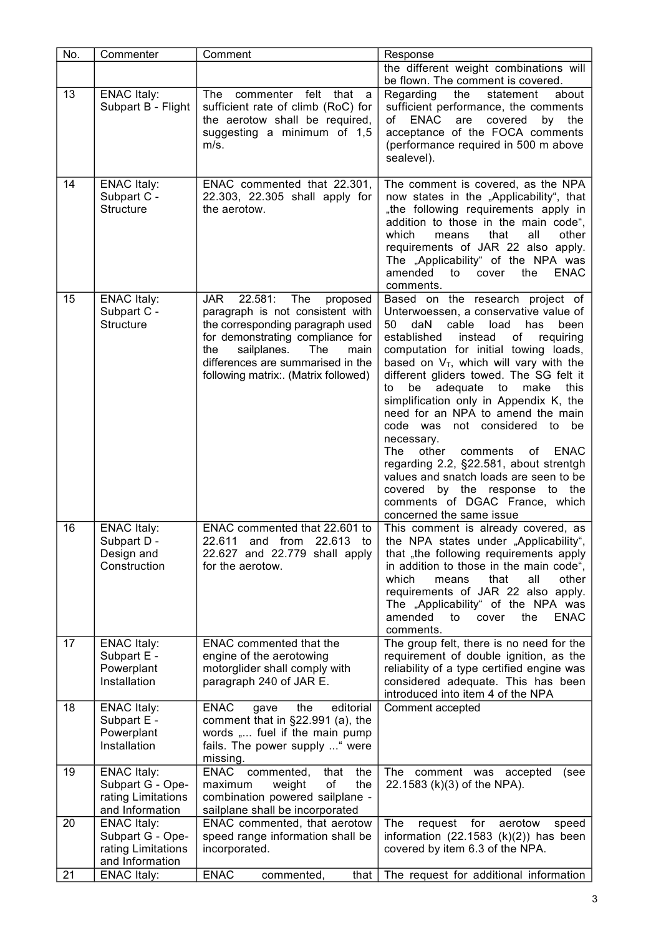| No. | Commenter                                                                       | Comment                                                                                                                                                                                                                                                                       | Response                                                                                                                                                                                                                                                                                                                                                                                                                                                                                                                                                                                                                                                                                              |
|-----|---------------------------------------------------------------------------------|-------------------------------------------------------------------------------------------------------------------------------------------------------------------------------------------------------------------------------------------------------------------------------|-------------------------------------------------------------------------------------------------------------------------------------------------------------------------------------------------------------------------------------------------------------------------------------------------------------------------------------------------------------------------------------------------------------------------------------------------------------------------------------------------------------------------------------------------------------------------------------------------------------------------------------------------------------------------------------------------------|
|     |                                                                                 |                                                                                                                                                                                                                                                                               | the different weight combinations will<br>be flown. The comment is covered.                                                                                                                                                                                                                                                                                                                                                                                                                                                                                                                                                                                                                           |
| 13  | <b>ENAC Italy:</b><br>Subpart B - Flight                                        | The commenter felt that<br>a<br>sufficient rate of climb (RoC) for<br>the aerotow shall be required,<br>suggesting a minimum of 1,5<br>m/s.                                                                                                                                   | Regarding<br>the<br>statement<br>about<br>sufficient performance, the comments<br>are<br>of ENAC<br>covered<br>by<br>the<br>acceptance of the FOCA comments<br>(performance required in 500 m above<br>sealevel).                                                                                                                                                                                                                                                                                                                                                                                                                                                                                     |
| 14  | <b>ENAC Italy:</b><br>Subpart C -<br><b>Structure</b>                           | ENAC commented that 22.301,<br>22.303, 22.305 shall apply for<br>the aerotow.                                                                                                                                                                                                 | The comment is covered, as the NPA<br>now states in the "Applicability", that<br>"the following requirements apply in<br>addition to those in the main code",<br>which<br>that<br>other<br>means<br>all<br>requirements of JAR 22 also apply.<br>The "Applicability" of the NPA was<br>amended<br>the<br><b>ENAC</b><br>to<br>cover<br>comments.                                                                                                                                                                                                                                                                                                                                                      |
| 15  | <b>ENAC Italy:</b><br>Subpart C -<br><b>Structure</b>                           | <b>JAR</b><br>22.581:<br><b>The</b><br>proposed<br>paragraph is not consistent with<br>the corresponding paragraph used<br>for demonstrating compliance for<br>sailplanes.<br>The<br>the<br>main<br>differences are summarised in the<br>following matrix:. (Matrix followed) | Based on the research project of<br>Unterwoessen, a conservative value of<br>50<br>daN<br>cable load<br>has<br>been<br>of<br>established<br>instead<br>requiring<br>computation for initial towing loads,<br>based on $V_T$ , which will vary with the<br>different gliders towed. The SG felt it<br>adequate<br>be<br>to<br>make<br>this<br>to<br>simplification only in Appendix K, the<br>need for an NPA to amend the main<br>code was not considered to be<br>necessary.<br>The<br>other<br>comments of ENAC<br>regarding 2.2, §22.581, about strentgh<br>values and snatch loads are seen to be<br>covered by the response to the<br>comments of DGAC France, which<br>concerned the same issue |
| 16  | <b>ENAC Italy:</b><br>Subpart D -<br>Design and<br>Construction                 | ENAC commented that 22.601 to<br>22.611 and from 22.613<br>to I<br>22.627 and 22.779 shall apply<br>for the aerotow.                                                                                                                                                          | This comment is already covered, as<br>the NPA states under "Applicability",<br>that "the following requirements apply<br>in addition to those in the main code",<br>which<br>that<br>all<br>other<br>means<br>requirements of JAR 22 also apply.<br>The "Applicability" of the NPA was<br>amended<br><b>ENAC</b><br>to<br>cover<br>the<br>comments.                                                                                                                                                                                                                                                                                                                                                  |
| 17  | <b>ENAC Italy:</b><br>Subpart E -<br>Powerplant<br>Installation                 | <b>ENAC</b> commented that the<br>engine of the aerotowing<br>motorglider shall comply with<br>paragraph 240 of JAR E.                                                                                                                                                        | The group felt, there is no need for the<br>requirement of double ignition, as the<br>reliability of a type certified engine was<br>considered adequate. This has been<br>introduced into item 4 of the NPA                                                                                                                                                                                                                                                                                                                                                                                                                                                                                           |
| 18  | <b>ENAC Italy:</b><br>Subpart E -<br>Powerplant<br>Installation                 | <b>ENAC</b><br>editorial<br>gave<br>the<br>comment that in §22.991 (a), the<br>words " fuel if the main pump<br>fails. The power supply  " were<br>missing.                                                                                                                   | Comment accepted                                                                                                                                                                                                                                                                                                                                                                                                                                                                                                                                                                                                                                                                                      |
| 19  | <b>ENAC Italy:</b><br>Subpart G - Ope-<br>rating Limitations<br>and Information | ENAC commented,<br>that<br>the<br>of<br>weight<br>the<br>maximum<br>combination powered sailplane -<br>sailplane shall be incorporated                                                                                                                                        | The comment was accepted<br>(see<br>22.1583 (k)(3) of the NPA).                                                                                                                                                                                                                                                                                                                                                                                                                                                                                                                                                                                                                                       |
| 20  | <b>ENAC Italy:</b><br>Subpart G - Ope-<br>rating Limitations<br>and Information | ENAC commented, that aerotow<br>speed range information shall be<br>incorporated.                                                                                                                                                                                             | The<br>request<br>for<br>aerotow<br>speed<br>information $(22.1583 (k)(2))$ has been<br>covered by item 6.3 of the NPA.                                                                                                                                                                                                                                                                                                                                                                                                                                                                                                                                                                               |
| 21  | <b>ENAC Italy:</b>                                                              | <b>ENAC</b><br>commented,<br>that $ $                                                                                                                                                                                                                                         | The request for additional information                                                                                                                                                                                                                                                                                                                                                                                                                                                                                                                                                                                                                                                                |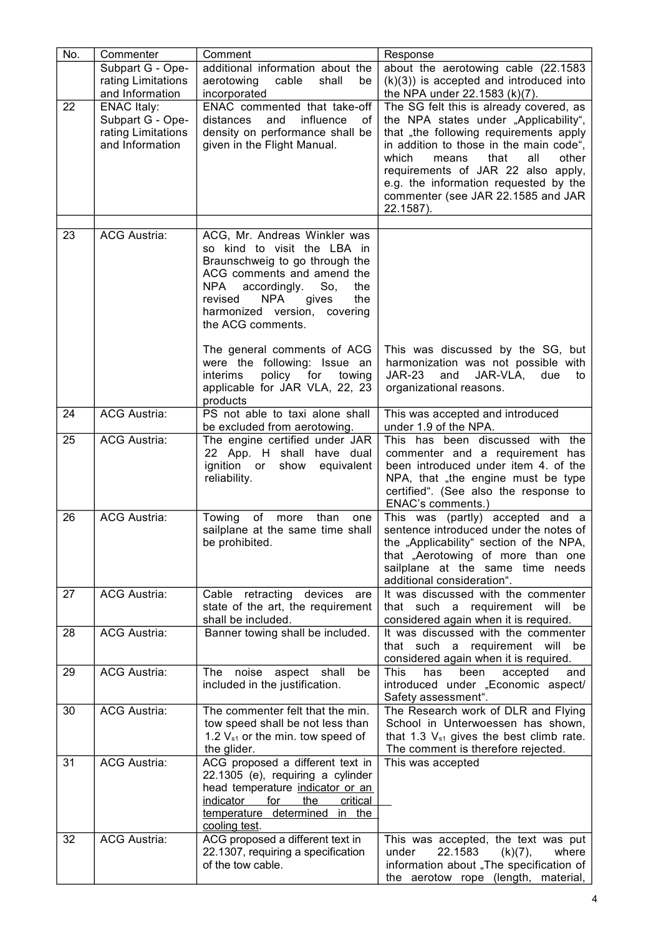| No. | Commenter                                                                       | Comment                                                                                                                                                                                                                                                       | Response                                                                                                                                                                                                                                                                                                                                          |
|-----|---------------------------------------------------------------------------------|---------------------------------------------------------------------------------------------------------------------------------------------------------------------------------------------------------------------------------------------------------------|---------------------------------------------------------------------------------------------------------------------------------------------------------------------------------------------------------------------------------------------------------------------------------------------------------------------------------------------------|
|     | Subpart G - Ope-<br>rating Limitations<br>and Information                       | additional information about the<br>aerotowing<br>cable<br>shall<br>be<br>incorporated                                                                                                                                                                        | about the aerotowing cable (22.1583<br>$(k)(3)$ ) is accepted and introduced into<br>the NPA under 22.1583 (k)(7).                                                                                                                                                                                                                                |
| 22  | <b>ENAC Italy:</b><br>Subpart G - Ope-<br>rating Limitations<br>and Information | ENAC commented that take-off<br>influence<br>distances<br>and<br>οf<br>density on performance shall be<br>given in the Flight Manual.                                                                                                                         | The SG felt this is already covered, as<br>the NPA states under "Applicability",<br>that "the following requirements apply<br>in addition to those in the main code",<br>which<br>that<br>all<br>means<br>other<br>requirements of JAR 22 also apply,<br>e.g. the information requested by the<br>commenter (see JAR 22.1585 and JAR<br>22.1587). |
| 23  | <b>ACG Austria:</b>                                                             | ACG, Mr. Andreas Winkler was                                                                                                                                                                                                                                  |                                                                                                                                                                                                                                                                                                                                                   |
|     |                                                                                 | so kind to visit the LBA in<br>Braunschweig to go through the<br>ACG comments and amend the<br>NPA<br>accordingly.<br>So,<br>the<br>the<br><b>NPA</b><br>gives<br>revised<br>harmonized version, covering<br>the ACG comments.<br>The general comments of ACG | This was discussed by the SG, but                                                                                                                                                                                                                                                                                                                 |
|     |                                                                                 | were the following: Issue an<br><i>interims</i><br>policy for<br>towing<br>applicable for JAR VLA, 22, 23<br>products                                                                                                                                         | harmonization was not possible with<br><b>JAR-23</b><br>and<br>JAR-VLA,<br>due<br>to<br>organizational reasons.                                                                                                                                                                                                                                   |
| 24  | <b>ACG Austria:</b>                                                             | PS not able to taxi alone shall<br>be excluded from aerotowing.                                                                                                                                                                                               | This was accepted and introduced<br>under 1.9 of the NPA.                                                                                                                                                                                                                                                                                         |
| 25  | <b>ACG Austria:</b>                                                             | The engine certified under JAR<br>22 App. H shall have dual<br>ignition or<br>show<br>equivalent<br>reliability.                                                                                                                                              | This has been discussed with the<br>commenter and a requirement has<br>been introduced under item 4. of the<br>NPA, that "the engine must be type<br>certified". (See also the response to<br>ENAC's comments.)                                                                                                                                   |
| 26  | <b>ACG Austria:</b>                                                             | Towing<br>of<br>than<br>more<br>one<br>sailplane at the same time shall<br>be prohibited.                                                                                                                                                                     | This was (partly) accepted and a<br>sentence introduced under the notes of<br>the "Applicability" section of the NPA,<br>that "Aerotowing of more than one<br>sailplane at the same time needs<br>additional consideration".                                                                                                                      |
| 27  | <b>ACG Austria:</b>                                                             | Cable retracting devices<br>are<br>state of the art, the requirement<br>shall be included.                                                                                                                                                                    | It was discussed with the commenter<br>that such a requirement will be<br>considered again when it is required.                                                                                                                                                                                                                                   |
| 28  | <b>ACG Austria:</b>                                                             | Banner towing shall be included.                                                                                                                                                                                                                              | It was discussed with the commenter<br>that such a requirement will be<br>considered again when it is required.                                                                                                                                                                                                                                   |
| 29  | <b>ACG Austria:</b>                                                             | The<br>noise aspect shall<br>be<br>included in the justification.                                                                                                                                                                                             | <b>This</b><br>has<br>been<br>accepted<br>and<br>introduced under "Economic aspect/<br>Safety assessment".                                                                                                                                                                                                                                        |
| 30  | <b>ACG Austria:</b>                                                             | The commenter felt that the min.<br>tow speed shall be not less than<br>1.2 $V_{s1}$ or the min. tow speed of<br>the glider.                                                                                                                                  | The Research work of DLR and Flying<br>School in Unterwoessen has shown,<br>that 1.3 $V_{s1}$ gives the best climb rate.<br>The comment is therefore rejected.                                                                                                                                                                                    |
| 31  | <b>ACG Austria:</b>                                                             | ACG proposed a different text in<br>22.1305 (e), requiring a cylinder<br>head temperature indicator or an<br>critical<br>indicator<br><u>for </u><br><u>the</u><br>temperature determined in the<br>cooling test.                                             | This was accepted                                                                                                                                                                                                                                                                                                                                 |
| 32  | <b>ACG Austria:</b>                                                             | ACG proposed a different text in<br>22.1307, requiring a specification<br>of the tow cable.                                                                                                                                                                   | This was accepted, the text was put<br>22.1583<br>under<br>(k)(7),<br>where<br>information about "The specification of<br>the aerotow rope (length, material,                                                                                                                                                                                     |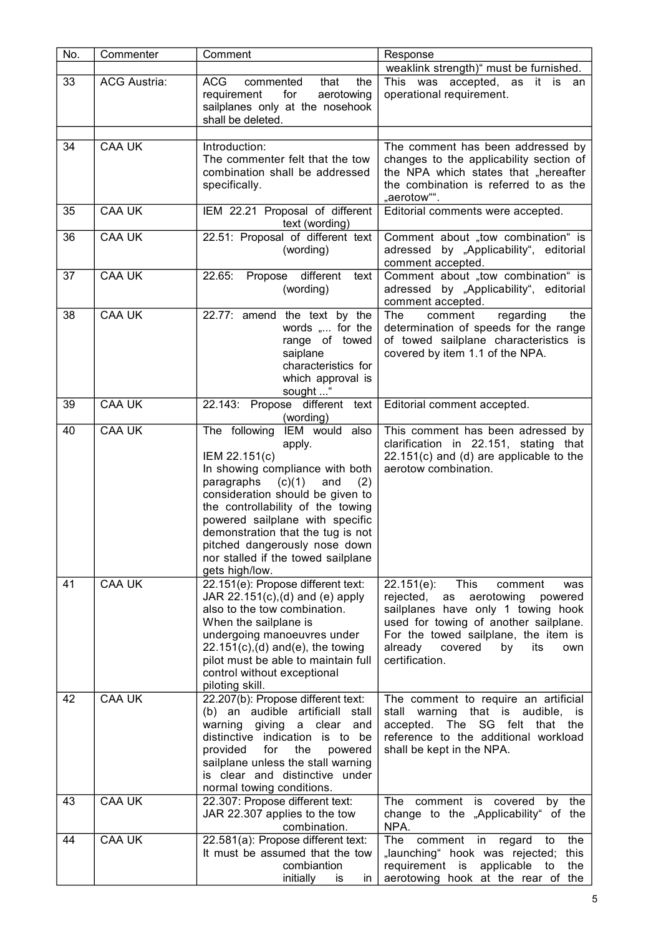| No. | Commenter           | Comment                                                                                                                                                                                                                                                                                                                                                                    | Response                                                                                                                                                                                                                                                               |
|-----|---------------------|----------------------------------------------------------------------------------------------------------------------------------------------------------------------------------------------------------------------------------------------------------------------------------------------------------------------------------------------------------------------------|------------------------------------------------------------------------------------------------------------------------------------------------------------------------------------------------------------------------------------------------------------------------|
| 33  | <b>ACG Austria:</b> | <b>ACG</b><br>commented<br>that<br>the<br>for<br>aerotowing<br>requirement<br>sailplanes only at the nosehook<br>shall be deleted.                                                                                                                                                                                                                                         | weaklink strength)" must be furnished.<br>This was accepted, as it is an<br>operational requirement.                                                                                                                                                                   |
| 34  | <b>CAA UK</b>       | Introduction:<br>The commenter felt that the tow<br>combination shall be addressed<br>specifically.                                                                                                                                                                                                                                                                        | The comment has been addressed by<br>changes to the applicability section of<br>the NPA which states that "hereafter<br>the combination is referred to as the<br>"aerotow"".                                                                                           |
| 35  | <b>CAA UK</b>       | IEM 22.21 Proposal of different<br>text (wording)                                                                                                                                                                                                                                                                                                                          | Editorial comments were accepted.                                                                                                                                                                                                                                      |
| 36  | <b>CAA UK</b>       | 22.51: Proposal of different text<br>(wording)                                                                                                                                                                                                                                                                                                                             | Comment about "tow combination" is<br>adressed by "Applicability", editorial<br>comment accepted.                                                                                                                                                                      |
| 37  | <b>CAA UK</b>       | 22.65:<br>Propose different<br>text<br>(wording)                                                                                                                                                                                                                                                                                                                           | Comment about "tow combination" is<br>adressed by "Applicability", editorial<br>comment accepted.                                                                                                                                                                      |
| 38  | <b>CAA UK</b>       | 22.77: amend the text by the<br>words " for the<br>range of towed<br>saiplane<br>characteristics for<br>which approval is<br>sought "                                                                                                                                                                                                                                      | The<br>comment<br>regarding<br>the<br>determination of speeds for the range<br>of towed sailplane characteristics is<br>covered by item 1.1 of the NPA.                                                                                                                |
| 39  | <b>CAA UK</b>       | 22.143: Propose different text<br>(wording)                                                                                                                                                                                                                                                                                                                                | Editorial comment accepted.                                                                                                                                                                                                                                            |
| 40  | <b>CAA UK</b>       | The following IEM would also<br>apply.<br>IEM 22.151(c)<br>In showing compliance with both<br>(c)(1)<br>paragraphs<br>and<br>(2)<br>consideration should be given to<br>the controllability of the towing<br>powered sailplane with specific<br>demonstration that the tug is not<br>pitched dangerously nose down<br>nor stalled if the towed sailplane<br>gets high/low. | This comment has been adressed by<br>clarification in 22.151, stating that<br>$22.151(c)$ and (d) are applicable to the<br>aerotow combination.                                                                                                                        |
| 41  | <b>CAA UK</b>       | 22.151(e): Propose different text:<br>JAR $22.151(c)$ , (d) and (e) apply<br>also to the tow combination.<br>When the sailplane is<br>undergoing manoeuvres under<br>$22.151(c)$ , (d) and (e), the towing<br>pilot must be able to maintain full<br>control without exceptional<br>piloting skill.                                                                        | This<br>$22.151(e)$ :<br>comment<br>was<br>rejected,<br>aerotowing<br>powered<br>as<br>sailplanes have only 1 towing hook<br>used for towing of another sailplane.<br>For the towed sailplane, the item is<br>already<br>covered<br>by<br>its<br>own<br>certification. |
| 42  | <b>CAA UK</b>       | 22.207(b): Propose different text:<br>(b) an audible artificiall stall<br>giving<br>warning<br>a clear<br>and<br>distinctive indication is to be<br>provided<br>the<br>for<br>powered<br>sailplane unless the stall warning<br>is clear and distinctive under<br>normal towing conditions.                                                                                 | The comment to require an artificial<br>stall warning<br>that is audible, is<br>- SG<br>felt<br>that the<br>accepted.<br>The<br>reference to the additional workload<br>shall be kept in the NPA.                                                                      |
| 43  | <b>CAA UK</b>       | 22.307: Propose different text:<br>JAR 22.307 applies to the tow<br>combination.                                                                                                                                                                                                                                                                                           | comment is<br>covered<br>The<br>by<br>the<br>change to the "Applicability" of the<br>NPA.                                                                                                                                                                              |
| 44  | <b>CAA UK</b>       | 22.581(a): Propose different text:<br>It must be assumed that the tow<br>combiantion<br>initially<br>is<br>in                                                                                                                                                                                                                                                              | The<br>comment<br>in<br>regard<br>the<br>to<br>"launching" hook was rejected;<br>this<br>requirement is<br>applicable<br>the<br>to<br>aerotowing hook at the rear of the                                                                                               |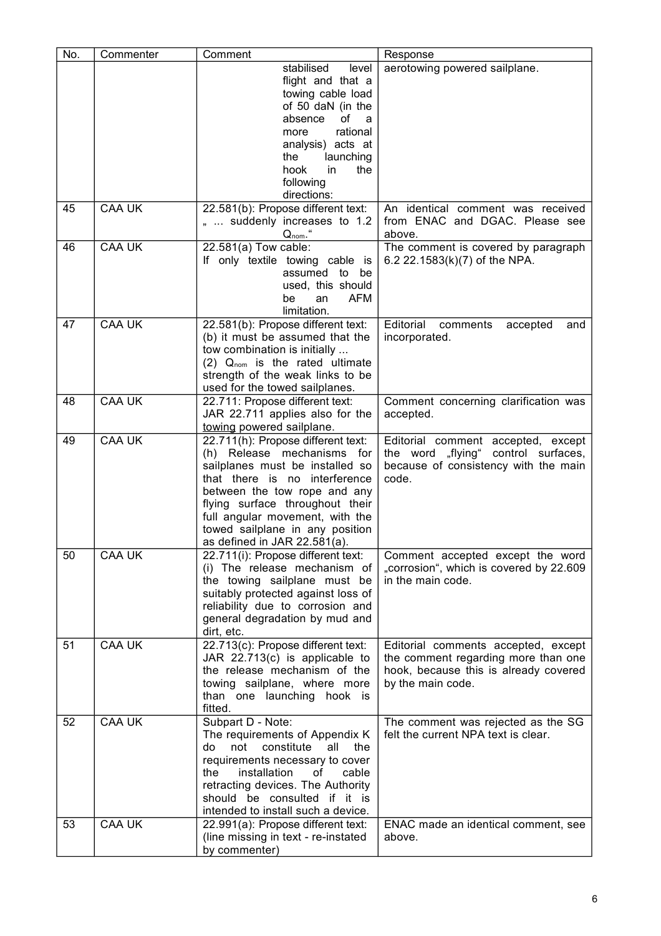| No. | Commenter     | Comment                                                        | Response                                                                     |
|-----|---------------|----------------------------------------------------------------|------------------------------------------------------------------------------|
|     |               | stabilised<br>level                                            | aerotowing powered sailplane.                                                |
|     |               | flight and that a                                              |                                                                              |
|     |               | towing cable load                                              |                                                                              |
|     |               | of 50 daN (in the                                              |                                                                              |
|     |               | 0f<br>absence<br>a                                             |                                                                              |
|     |               | rational<br>more                                               |                                                                              |
|     |               | analysis) acts at                                              |                                                                              |
|     |               | the<br>launching                                               |                                                                              |
|     |               | hook<br>in<br>the                                              |                                                                              |
|     |               | following                                                      |                                                                              |
|     |               | directions:                                                    |                                                                              |
| 45  | <b>CAA UK</b> | 22.581(b): Propose different text:                             | An identical comment was received                                            |
|     |               | "  suddenly increases to 1.2                                   | from ENAC and DGAC. Please see                                               |
|     |               | $Q_{nom}$ .                                                    | above.                                                                       |
| 46  | <b>CAA UK</b> | 22.581(a) Tow cable:                                           | The comment is covered by paragraph                                          |
|     |               | If only textile towing cable is                                | 6.2 22.1583(k)(7) of the NPA.                                                |
|     |               | assumed to be                                                  |                                                                              |
|     |               | used, this should                                              |                                                                              |
|     |               | <b>AFM</b><br>be<br>an                                         |                                                                              |
| 47  | <b>CAA UK</b> | limitation.<br>22.581(b): Propose different text:              | Editorial<br>comments<br>accepted<br>and                                     |
|     |               | (b) it must be assumed that the                                | incorporated.                                                                |
|     |               | tow combination is initially                                   |                                                                              |
|     |               | $(2)$ Q <sub>nom</sub> is the rated ultimate                   |                                                                              |
|     |               | strength of the weak links to be                               |                                                                              |
|     |               | used for the towed sailplanes.                                 |                                                                              |
| 48  | <b>CAA UK</b> | 22.711: Propose different text:                                | Comment concerning clarification was                                         |
|     |               | JAR 22.711 applies also for the                                | accepted.                                                                    |
|     |               | towing powered sailplane.                                      |                                                                              |
| 49  | <b>CAA UK</b> | 22.711(h): Propose different text:                             | Editorial comment accepted, except                                           |
|     |               | (h) Release mechanisms for                                     | the word "flying" control surfaces,                                          |
|     |               | sailplanes must be installed so                                | because of consistency with the main                                         |
|     |               | that there is no interference                                  | code.                                                                        |
|     |               | between the tow rope and any                                   |                                                                              |
|     |               | flying surface throughout their                                |                                                                              |
|     |               | full angular movement, with the                                |                                                                              |
|     |               | towed sailplane in any position                                |                                                                              |
|     |               | as defined in JAR 22.581(a).                                   |                                                                              |
| 50  | <b>CAA UK</b> | 22.711(i): Propose different text:                             | Comment accepted except the word                                             |
|     |               | (i) The release mechanism of                                   | "corrosion", which is covered by 22.609                                      |
|     |               | the towing sailplane must be                                   | in the main code.                                                            |
|     |               | suitably protected against loss of                             |                                                                              |
|     |               | reliability due to corrosion and                               |                                                                              |
|     |               | general degradation by mud and                                 |                                                                              |
|     | <b>CAA UK</b> | dirt, etc.                                                     |                                                                              |
| 51  |               | 22.713(c): Propose different text:                             | Editorial comments accepted, except                                          |
|     |               | JAR 22.713(c) is applicable to<br>the release mechanism of the | the comment regarding more than one<br>hook, because this is already covered |
|     |               | towing sailplane, where more                                   | by the main code.                                                            |
|     |               | than one launching hook is                                     |                                                                              |
|     |               | fitted.                                                        |                                                                              |
| 52  | <b>CAA UK</b> | Subpart D - Note:                                              | The comment was rejected as the SG                                           |
|     |               | The requirements of Appendix K                                 | felt the current NPA text is clear.                                          |
|     |               | not<br>constitute<br>the<br>do<br>all                          |                                                                              |
|     |               | requirements necessary to cover                                |                                                                              |
|     |               | installation<br>cable<br>the<br>οf                             |                                                                              |
|     |               | retracting devices. The Authority                              |                                                                              |
|     |               | should be consulted if it is                                   |                                                                              |
|     |               | intended to install such a device.                             |                                                                              |
| 53  | <b>CAA UK</b> | 22.991(a): Propose different text:                             | ENAC made an identical comment, see                                          |
|     |               | (line missing in text - re-instated                            | above.                                                                       |
|     |               | by commenter)                                                  |                                                                              |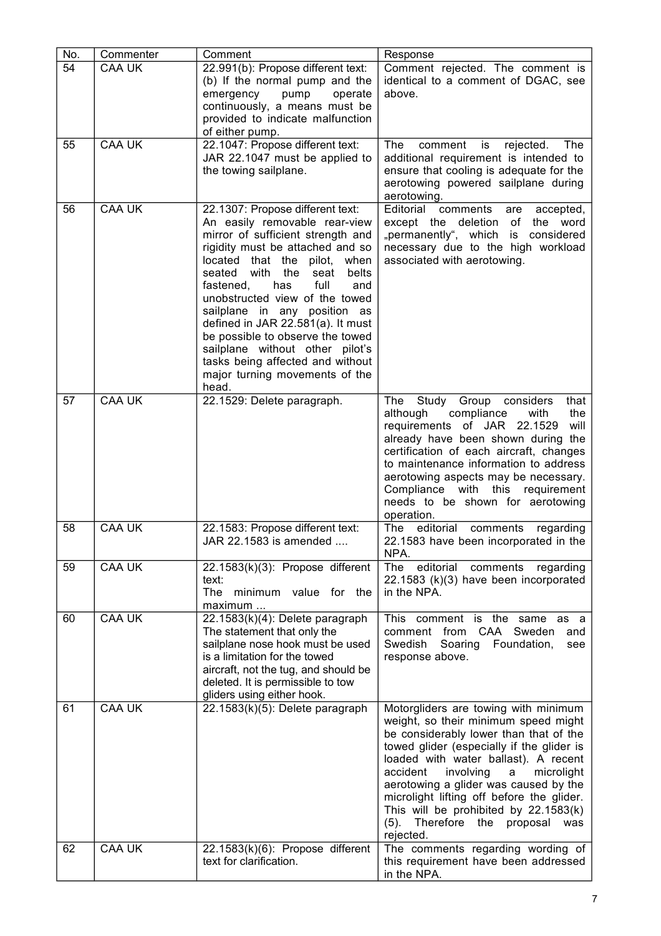| No. | Commenter     | Comment                                                                                                                                                                                                                                                                                                                                                                                                                                                                                                                 | Response                                                                                                                                                                                                                                                                                                                                                                                                                                        |
|-----|---------------|-------------------------------------------------------------------------------------------------------------------------------------------------------------------------------------------------------------------------------------------------------------------------------------------------------------------------------------------------------------------------------------------------------------------------------------------------------------------------------------------------------------------------|-------------------------------------------------------------------------------------------------------------------------------------------------------------------------------------------------------------------------------------------------------------------------------------------------------------------------------------------------------------------------------------------------------------------------------------------------|
| 54  | <b>CAA UK</b> | 22.991(b): Propose different text:<br>(b) If the normal pump and the<br>emergency<br>pump<br>operate<br>continuously, a means must be<br>provided to indicate malfunction<br>of either pump.                                                                                                                                                                                                                                                                                                                            | Comment rejected. The comment is<br>identical to a comment of DGAC, see<br>above.                                                                                                                                                                                                                                                                                                                                                               |
| 55  | <b>CAA UK</b> | 22.1047: Propose different text:<br>JAR 22.1047 must be applied to<br>the towing sailplane.                                                                                                                                                                                                                                                                                                                                                                                                                             | The<br>comment<br>is<br>rejected.<br>The<br>additional requirement is intended to<br>ensure that cooling is adequate for the<br>aerotowing powered sailplane during<br>aerotowing.                                                                                                                                                                                                                                                              |
| 56  | <b>CAA UK</b> | 22.1307: Propose different text:<br>An easily removable rear-view<br>mirror of sufficient strength and<br>rigidity must be attached and so<br>located that the<br>pilot,<br>when<br>with the<br>belts<br>seated<br>seat<br>full<br>fastened,<br>has<br>and<br>unobstructed view of the towed<br>sailplane in any position as<br>defined in JAR 22.581(a). It must<br>be possible to observe the towed<br>sailplane without other pilot's<br>tasks being affected and without<br>major turning movements of the<br>head. | Editorial<br>comments<br>accepted,<br>are<br>except the deletion of the word<br>"permanently", which is<br>considered<br>necessary due to the high workload<br>associated with aerotowing.                                                                                                                                                                                                                                                      |
| 57  | <b>CAA UK</b> | 22.1529: Delete paragraph.                                                                                                                                                                                                                                                                                                                                                                                                                                                                                              | Study Group considers<br>The<br>that<br>compliance<br>the<br>although<br>with<br>requirements of JAR 22.1529<br>will<br>already have been shown during the<br>certification of each aircraft, changes<br>to maintenance information to address<br>aerotowing aspects may be necessary.<br>Compliance with this requirement<br>needs to be shown for aerotowing<br>operation.                                                                    |
| 58  | <b>CAA UK</b> | 22.1583: Propose different text:<br>JAR 22.1583 is amended.                                                                                                                                                                                                                                                                                                                                                                                                                                                             | The<br>editorial<br>comments<br>regarding<br>22.1583 have been incorporated in the<br>NPA.                                                                                                                                                                                                                                                                                                                                                      |
| 59  | <b>CAA UK</b> | 22.1583(k)(3): Propose different<br>text:<br>The<br>minimum value for the<br>maximum                                                                                                                                                                                                                                                                                                                                                                                                                                    | editorial<br>The<br>comments regarding<br>22.1583 (k)(3) have been incorporated<br>in the NPA.                                                                                                                                                                                                                                                                                                                                                  |
| 60  | <b>CAA UK</b> | 22.1583(k)(4): Delete paragraph<br>The statement that only the<br>sailplane nose hook must be used<br>is a limitation for the towed<br>aircraft, not the tug, and should be<br>deleted. It is permissible to tow<br>gliders using either hook.                                                                                                                                                                                                                                                                          | This comment is the same as a<br>CAA<br>Sweden<br>comment<br>from<br>and<br>Soaring<br>Swedish<br>Foundation,<br>see<br>response above.                                                                                                                                                                                                                                                                                                         |
| 61  | <b>CAA UK</b> | 22.1583(k)(5): Delete paragraph                                                                                                                                                                                                                                                                                                                                                                                                                                                                                         | Motorgliders are towing with minimum<br>weight, so their minimum speed might<br>be considerably lower than that of the<br>towed glider (especially if the glider is<br>loaded with water ballast). A recent<br>accident<br>involving<br>microlight<br>a<br>aerotowing a glider was caused by the<br>microlight lifting off before the glider.<br>This will be prohibited by 22.1583(k)<br>Therefore the proposal<br>$(5)$ .<br>was<br>rejected. |
| 62  | <b>CAA UK</b> | 22.1583(k)(6): Propose different<br>text for clarification.                                                                                                                                                                                                                                                                                                                                                                                                                                                             | The comments regarding wording of<br>this requirement have been addressed<br>in the NPA.                                                                                                                                                                                                                                                                                                                                                        |